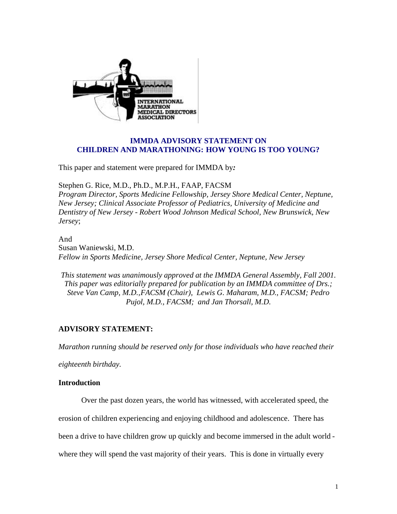

# **IMMDA ADVISORY STATEMENT ON CHILDREN AND MARATHONING: HOW YOUNG IS TOO YOUNG?**

This paper and statement were prepared for IMMDA by*:*

Stephen G. Rice, M.D., Ph.D., M.P.H., FAAP, FACSM

*Program Director, Sports Medicine Fellowship, Jersey Shore Medical Center, Neptune, New Jersey; Clinical Associate Professor of Pediatrics, University of Medicine and Dentistry of New Jersey - Robert Wood Johnson Medical School, New Brunswick, New Jersey*;

And Susan Waniewski, M.D. *Fellow in Sports Medicine, Jersey Shore Medical Center, Neptune, New Jersey*

*This statement was unanimously approved at the IMMDA General Assembly, Fall 2001. This paper was editorially prepared for publication by an IMMDA committee of Drs.; Steve Van Camp, M.D.,FACSM (Chair), Lewis G. Maharam, M.D., FACSM; Pedro Pujol, M.D., FACSM; and Jan Thorsall, M.D.* 

# **ADVISORY STATEMENT:**

*Marathon running should be reserved only for those individuals who have reached their* 

*eighteenth birthday.*

# **Introduction**

Over the past dozen years, the world has witnessed, with accelerated speed, the

erosion of children experiencing and enjoying childhood and adolescence. There has

been a drive to have children grow up quickly and become immersed in the adult world -

where they will spend the vast majority of their years. This is done in virtually every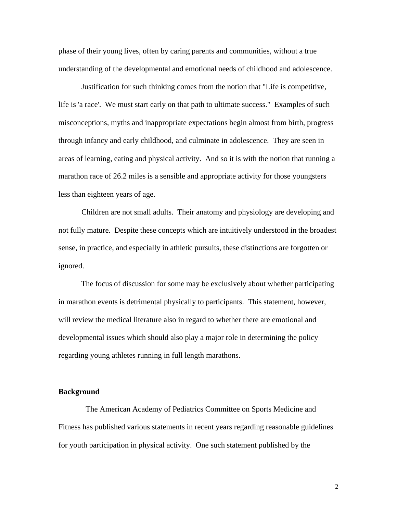phase of their young lives, often by caring parents and communities, without a true understanding of the developmental and emotional needs of childhood and adolescence.

 Justification for such thinking comes from the notion that "Life is competitive, life is 'a race'. We must start early on that path to ultimate success." Examples of such misconceptions, myths and inappropriate expectations begin almost from birth, progress through infancy and early childhood, and culminate in adolescence. They are seen in areas of learning, eating and physical activity. And so it is with the notion that running a marathon race of 26.2 miles is a sensible and appropriate activity for those youngsters less than eighteen years of age.

 Children are not small adults. Their anatomy and physiology are developing and not fully mature. Despite these concepts which are intuitively understood in the broadest sense, in practice, and especially in athletic pursuits, these distinctions are forgotten or ignored.

 The focus of discussion for some may be exclusively about whether participating in marathon events is detrimental physically to participants. This statement, however, will review the medical literature also in regard to whether there are emotional and developmental issues which should also play a major role in determining the policy regarding young athletes running in full length marathons.

# **Background**

 The American Academy of Pediatrics Committee on Sports Medicine and Fitness has published various statements in recent years regarding reasonable guidelines for youth participation in physical activity. One such statement published by the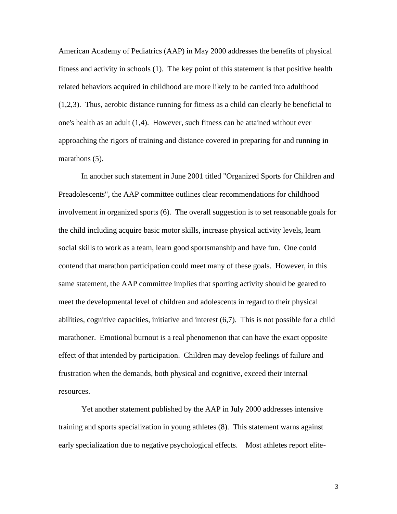American Academy of Pediatrics (AAP) in May 2000 addresses the benefits of physical fitness and activity in schools (1). The key point of this statement is that positive health related behaviors acquired in childhood are more likely to be carried into adulthood (1,2,3). Thus, aerobic distance running for fitness as a child can clearly be beneficial to one's health as an adult (1,4). However, such fitness can be attained without ever approaching the rigors of training and distance covered in preparing for and running in marathons (5).

 In another such statement in June 2001 titled "Organized Sports for Children and Preadolescents", the AAP committee outlines clear recommendations for childhood involvement in organized sports (6). The overall suggestion is to set reasonable goals for the child including acquire basic motor skills, increase physical activity levels, learn social skills to work as a team, learn good sportsmanship and have fun. One could contend that marathon participation could meet many of these goals. However, in this same statement, the AAP committee implies that sporting activity should be geared to meet the developmental level of children and adolescents in regard to their physical abilities, cognitive capacities, initiative and interest (6,7). This is not possible for a child marathoner. Emotional burnout is a real phenomenon that can have the exact opposite effect of that intended by participation. Children may develop feelings of failure and frustration when the demands, both physical and cognitive, exceed their internal resources.

 Yet another statement published by the AAP in July 2000 addresses intensive training and sports specialization in young athletes (8). This statement warns against early specialization due to negative psychological effects. Most athletes report elite-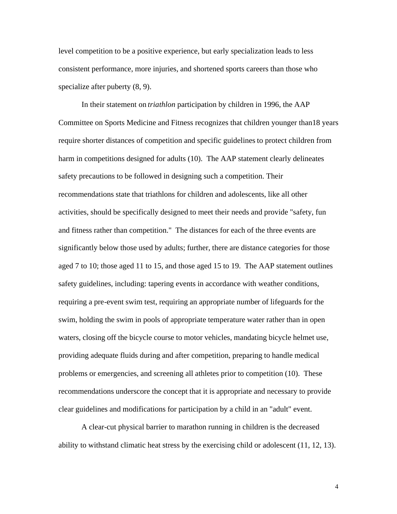level competition to be a positive experience, but early specialization leads to less consistent performance, more injuries, and shortened sports careers than those who specialize after puberty (8, 9).

 In their statement on *triathlon* participation by children in 1996, the AAP Committee on Sports Medicine and Fitness recognizes that children younger than18 years require shorter distances of competition and specific guidelines to protect children from harm in competitions designed for adults (10). The AAP statement clearly delineates safety precautions to be followed in designing such a competition. Their recommendations state that triathlons for children and adolescents, like all other activities, should be specifically designed to meet their needs and provide "safety, fun and fitness rather than competition." The distances for each of the three events are significantly below those used by adults; further, there are distance categories for those aged 7 to 10; those aged 11 to 15, and those aged 15 to 19. The AAP statement outlines safety guidelines, including: tapering events in accordance with weather conditions, requiring a pre-event swim test, requiring an appropriate number of lifeguards for the swim, holding the swim in pools of appropriate temperature water rather than in open waters, closing off the bicycle course to motor vehicles, mandating bicycle helmet use, providing adequate fluids during and after competition, preparing to handle medical problems or emergencies, and screening all athletes prior to competition (10). These recommendations underscore the concept that it is appropriate and necessary to provide clear guidelines and modifications for participation by a child in an "adult" event.

 A clear-cut physical barrier to marathon running in children is the decreased ability to withstand climatic heat stress by the exercising child or adolescent (11, 12, 13).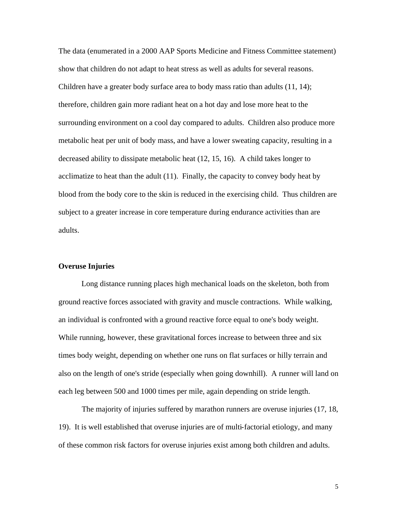The data (enumerated in a 2000 AAP Sports Medicine and Fitness Committee statement) show that children do not adapt to heat stress as well as adults for several reasons. Children have a greater body surface area to body mass ratio than adults (11, 14); therefore, children gain more radiant heat on a hot day and lose more heat to the surrounding environment on a cool day compared to adults. Children also produce more metabolic heat per unit of body mass, and have a lower sweating capacity, resulting in a decreased ability to dissipate metabolic heat (12, 15, 16). A child takes longer to acclimatize to heat than the adult (11). Finally, the capacity to convey body heat by blood from the body core to the skin is reduced in the exercising child. Thus children are subject to a greater increase in core temperature during endurance activities than are adults.

# **Overuse Injuries**

 Long distance running places high mechanical loads on the skeleton, both from ground reactive forces associated with gravity and muscle contractions. While walking, an individual is confronted with a ground reactive force equal to one's body weight. While running, however, these gravitational forces increase to between three and six times body weight, depending on whether one runs on flat surfaces or hilly terrain and also on the length of one's stride (especially when going downhill). A runner will land on each leg between 500 and 1000 times per mile, again depending on stride length.

 The majority of injuries suffered by marathon runners are overuse injuries (17, 18, 19). It is well established that overuse injuries are of multi-factorial etiology, and many of these common risk factors for overuse injuries exist among both children and adults.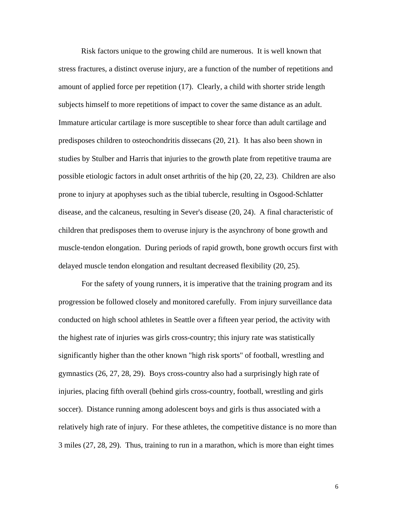Risk factors unique to the growing child are numerous. It is well known that stress fractures, a distinct overuse injury, are a function of the number of repetitions and amount of applied force per repetition (17). Clearly, a child with shorter stride length subjects himself to more repetitions of impact to cover the same distance as an adult. Immature articular cartilage is more susceptible to shear force than adult cartilage and predisposes children to osteochondritis dissecans (20, 21). It has also been shown in studies by Stulber and Harris that injuries to the growth plate from repetitive trauma are possible etiologic factors in adult onset arthritis of the hip (20, 22, 23). Children are also prone to injury at apophyses such as the tibial tubercle, resulting in Osgood-Schlatter disease, and the calcaneus, resulting in Sever's disease (20, 24). A final characteristic of children that predisposes them to overuse injury is the asynchrony of bone growth and muscle-tendon elongation. During periods of rapid growth, bone growth occurs first with delayed muscle tendon elongation and resultant decreased flexibility (20, 25).

 For the safety of young runners, it is imperative that the training program and its progression be followed closely and monitored carefully. From injury surveillance data conducted on high school athletes in Seattle over a fifteen year period, the activity with the highest rate of injuries was girls cross-country; this injury rate was statistically significantly higher than the other known "high risk sports" of football, wrestling and gymnastics (26, 27, 28, 29). Boys cross-country also had a surprisingly high rate of injuries, placing fifth overall (behind girls cross-country, football, wrestling and girls soccer). Distance running among adolescent boys and girls is thus associated with a relatively high rate of injury. For these athletes, the competitive distance is no more than 3 miles (27, 28, 29). Thus, training to run in a marathon, which is more than eight times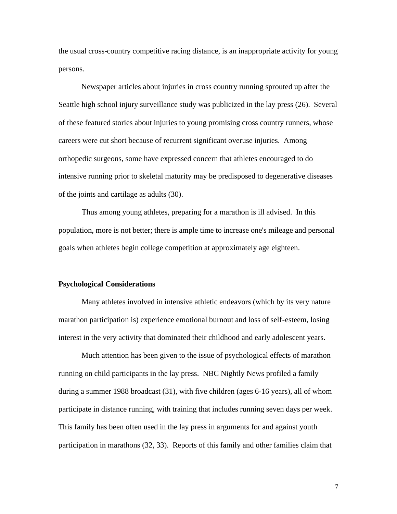the usual cross-country competitive racing distance, is an inappropriate activity for young persons.

 Newspaper articles about injuries in cross country running sprouted up after the Seattle high school injury surveillance study was publicized in the lay press (26). Several of these featured stories about injuries to young promising cross country runners, whose careers were cut short because of recurrent significant overuse injuries. Among orthopedic surgeons, some have expressed concern that athletes encouraged to do intensive running prior to skeletal maturity may be predisposed to degenerative diseases of the joints and cartilage as adults (30).

 Thus among young athletes, preparing for a marathon is ill advised. In this population, more is not better; there is ample time to increase one's mileage and personal goals when athletes begin college competition at approximately age eighteen.

#### **Psychological Considerations**

 Many athletes involved in intensive athletic endeavors (which by its very nature marathon participation is) experience emotional burnout and loss of self-esteem, losing interest in the very activity that dominated their childhood and early adolescent years.

 Much attention has been given to the issue of psychological effects of marathon running on child participants in the lay press. NBC Nightly News profiled a family during a summer 1988 broadcast (31), with five children (ages 6-16 years), all of whom participate in distance running, with training that includes running seven days per week. This family has been often used in the lay press in arguments for and against youth participation in marathons (32, 33). Reports of this family and other families claim that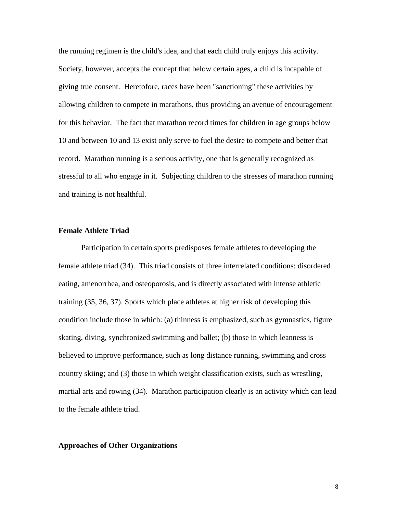the running regimen is the child's idea, and that each child truly enjoys this activity. Society, however, accepts the concept that below certain ages, a child is incapable of giving true consent. Heretofore, races have been "sanctioning" these activities by allowing children to compete in marathons, thus providing an avenue of encouragement for this behavior. The fact that marathon record times for children in age groups below 10 and between 10 and 13 exist only serve to fuel the desire to compete and better that record. Marathon running is a serious activity, one that is generally recognized as stressful to all who engage in it. Subjecting children to the stresses of marathon running and training is not healthful.

# **Female Athlete Triad**

 Participation in certain sports predisposes female athletes to developing the female athlete triad (34). This triad consists of three interrelated conditions: disordered eating, amenorrhea, and osteoporosis, and is directly associated with intense athletic training (35, 36, 37). Sports which place athletes at higher risk of developing this condition include those in which: (a) thinness is emphasized, such as gymnastics, figure skating, diving, synchronized swimming and ballet; (b) those in which leanness is believed to improve performance, such as long distance running, swimming and cross country skiing; and (3) those in which weight classification exists, such as wrestling, martial arts and rowing (34). Marathon participation clearly is an activity which can lead to the female athlete triad.

#### **Approaches of Other Organizations**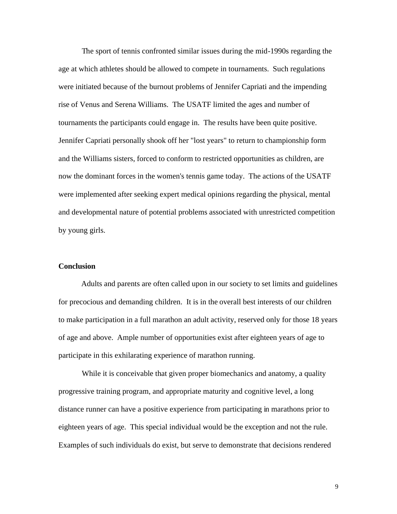The sport of tennis confronted similar issues during the mid-1990s regarding the age at which athletes should be allowed to compete in tournaments. Such regulations were initiated because of the burnout problems of Jennifer Capriati and the impending rise of Venus and Serena Williams. The USATF limited the ages and number of tournaments the participants could engage in. The results have been quite positive. Jennifer Capriati personally shook off her "lost years" to return to championship form and the Williams sisters, forced to conform to restricted opportunities as children, are now the dominant forces in the women's tennis game today. The actions of the USATF were implemented after seeking expert medical opinions regarding the physical, mental and developmental nature of potential problems associated with unrestricted competition by young girls.

# **Conclusion**

 Adults and parents are often called upon in our society to set limits and guidelines for precocious and demanding children. It is in the overall best interests of our children to make participation in a full marathon an adult activity, reserved only for those 18 years of age and above. Ample number of opportunities exist after eighteen years of age to participate in this exhilarating experience of marathon running.

While it is conceivable that given proper biomechanics and anatomy, a quality progressive training program, and appropriate maturity and cognitive level, a long distance runner can have a positive experience from participating in marathons prior to eighteen years of age. This special individual would be the exception and not the rule. Examples of such individuals do exist, but serve to demonstrate that decisions rendered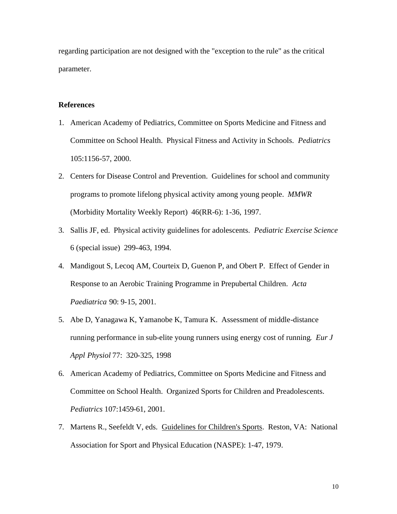regarding participation are not designed with the "exception to the rule" as the critical parameter.

# **References**

- 1. American Academy of Pediatrics, Committee on Sports Medicine and Fitness and Committee on School Health. Physical Fitness and Activity in Schools. *Pediatrics* 105:1156-57, 2000.
- 2. Centers for Disease Control and Prevention. Guidelines for school and community programs to promote lifelong physical activity among young people. *MMWR*  (Morbidity Mortality Weekly Report) 46(RR-6): 1-36, 1997.
- 3. Sallis JF, ed. Physical activity guidelines for adolescents. *Pediatric Exercise Science* 6 (special issue) 299-463, 1994.
- 4. Mandigout S, Lecoq AM, Courteix D, Guenon P, and Obert P. Effect of Gender in Response to an Aerobic Training Programme in Prepubertal Children. *Acta Paediatrica* 90: 9-15, 2001.
- 5. Abe D, Yanagawa K, Yamanobe K, Tamura K. Assessment of middle-distance running performance in sub-elite young runners using energy cost of running*. Eur J Appl Physiol* 77: 320-325, 1998
- 6. American Academy of Pediatrics, Committee on Sports Medicine and Fitness and Committee on School Health. Organized Sports for Children and Preadolescents. *Pediatrics* 107:1459-61, 2001.
- 7. Martens R., Seefeldt V, eds. Guidelines for Children's Sports. Reston, VA: National Association for Sport and Physical Education (NASPE): 1-47, 1979.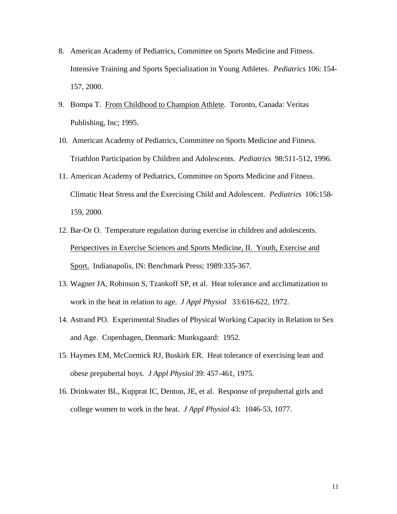- 8. American Academy of Pediatrics, Committee on Sports Medicine and Fitness. Intensive Training and Sports Specialization in Young Athletes. *Pediatrics* 106: 154- 157, 2000.
- 9. Bompa T. From Childhood to Champion Athlete. Toronto, Canada: Veritas Publishing, Inc; 1995.
- 10. American Academy of Pediatrics, Committee on Sports Medicine and Fitness. Triathlon Participation by Children and Adolescents. *Pediatric*s 98:511-512, 1996.
- 11. American Academy of Pediatrics, Committee on Sports Medicine and Fitness. Climatic Heat Stress and the Exercising Child and Adolescent. *Pediatric*s 106:158- 159, 2000.
- 12. Bar-Or O. Temperature regulation during exercise in children and adolescents. Perspectives in Exercise Sciences and Sports Medicine, II. Youth, Exercise and Sport. Indianapolis, IN: Benchmark Press; 1989:335-367.
- 13. Wagner JA, Robinson S, Tzankoff SP, et al. Heat tolerance and acclimatization to work in the heat in relation to age. *J Appl Physiol* 33:616-622, 1972.
- 14. Astrand PO. Experimental Studies of Physical Working Capacity in Relation to Sex and Age. Copenhagen, Denmark: Munksgaard: 1952.
- 15. Haymes EM, McCormick RJ, Buskirk ER. Heat tolerance of exercising lean and obese prepubertal boys. *J Appl Physiol* 39: 457-461, 1975.
- 16. Drinkwater BL, Kupprat IC, Denton, JE, et al. Response of prepubertal girls and college women to work in the heat. *J Appl Physiol* 43: 1046-53, 1077.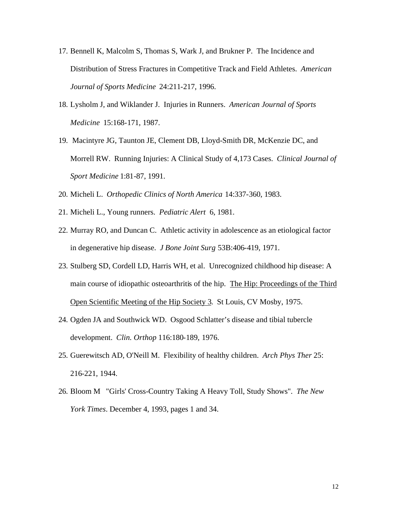- 17. Bennell K, Malcolm S, Thomas S, Wark J, and Brukner P. The Incidence and Distribution of Stress Fractures in Competitive Track and Field Athletes. *American Journal of Sports Medicine* 24:211-217, 1996.
- 18. Lysholm J, and Wiklander J. Injuries in Runners. *American Journal of Sports Medicine* 15:168-171, 1987.
- 19. Macintyre JG, Taunton JE, Clement DB, Lloyd-Smith DR, McKenzie DC, and Morrell RW. Running Injuries: A Clinical Study of 4,173 Cases. *Clinical Journal of Sport Medicine* 1:81-87, 1991.
- 20. Micheli L. *Orthopedic Clinics of North America* 14:337-360, 1983.
- 21. Micheli L., Young runners. *Pediatric Alert* 6, 1981.
- 22. Murray RO, and Duncan C. Athletic activity in adolescence as an etiological factor in degenerative hip disease. *J Bone Joint Surg* 53B:406-419, 1971.
- 23. Stulberg SD, Cordell LD, Harris WH, et al. Unrecognized childhood hip disease: A main course of idiopathic osteoarthritis of the hip. The Hip: Proceedings of the Third Open Scientific Meeting of the Hip Society 3. St Louis, CV Mosby, 1975.
- 24. Ogden JA and Southwick WD. Osgood Schlatter's disease and tibial tubercle development. *Clin. Orthop* 116:180-189, 1976.
- 25. Guerewitsch AD, O'Neill M. Flexibility of healthy children. *Arch Phys Ther* 25: 216-221, 1944.
- 26. Bloom M "Girls' Cross-Country Taking A Heavy Toll, Study Shows"*. The New York Times*. December 4, 1993, pages 1 and 34.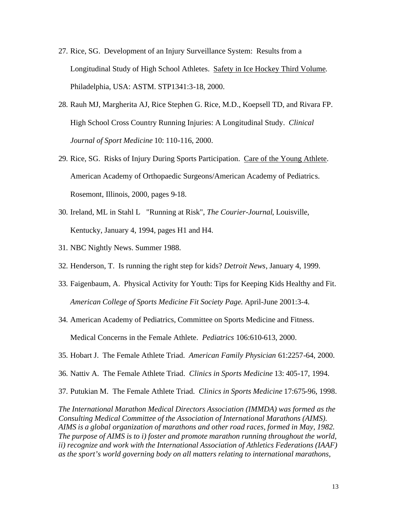- 27. Rice, SG. Development of an Injury Surveillance System: Results from a Longitudinal Study of High School Athletes. Safety in Ice Hockey Third Volume. Philadelphia, USA: ASTM. STP1341:3-18, 2000.
- 28. Rauh MJ, Margherita AJ, Rice Stephen G. Rice, M.D., Koepsell TD, and Rivara FP. High School Cross Country Running Injuries: A Longitudinal Study. *Clinical Journal of Sport Medicine* 10: 110-116, 2000.
- 29. Rice, SG. Risks of Injury During Sports Participation. Care of the Young Athlete. American Academy of Orthopaedic Surgeons/American Academy of Pediatrics. Rosemont, Illinois, 2000, pages 9-18.
- 30. Ireland, ML in Stahl L "Running at Risk", *The Courier-Journal*, Louisville, Kentucky, January 4, 1994, pages H1 and H4.
- 31. NBC Nightly News. Summer 1988.
- 32. Henderson, T. Is running the right step for kids? *Detroit News*, January 4, 1999.
- 33. Faigenbaum, A. Physical Activity for Youth: Tips for Keeping Kids Healthy and Fit. *American College of Sports Medicine Fit Society Page*. April-June 2001:3-4.
- 34. American Academy of Pediatrics, Committee on Sports Medicine and Fitness. Medical Concerns in the Female Athlete. *Pediatrics* 106:610-613, 2000.
- 35. Hobart J. The Female Athlete Triad. *American Family Physician* 61:2257-64, 2000.
- 36. Nattiv A. The Female Athlete Triad. *Clinics in Sports Medicine* 13: 405-17, 1994.
- 37. Putukian M. The Female Athlete Triad. *Clinics in Sports Medicine* 17:675-96, 1998.

*The International Marathon Medical Directors Association (IMMDA) was formed as the Consulting Medical Committee of the Association of International Marathons (AIMS). AIMS is a global organization of marathons and other road races, formed in May, 1982. The purpose of AIMS is to i) foster and promote marathon running throughout the world, ii) recognize and work with the International Association of Athletics Federations (IAAF) as the sport's world governing body on all matters relating to international marathons,*